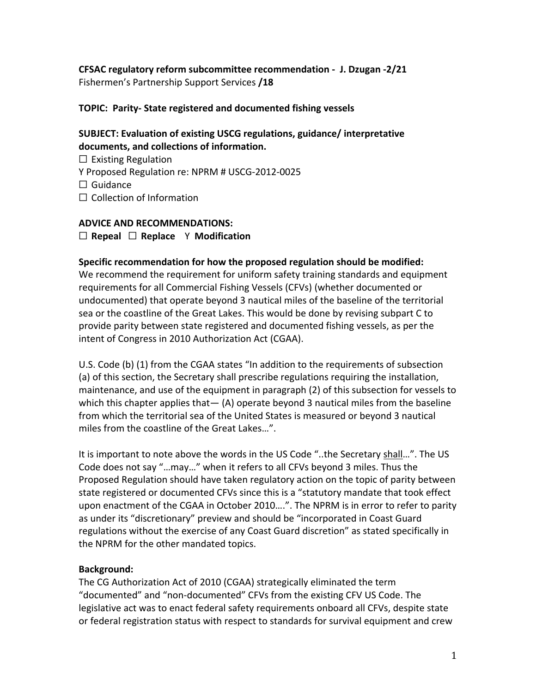**CFSAC regulatory reform subcommittee recommendation - J. Dzugan -2/21** Fishermen's Partnership Support Services **/18**

## **TOPIC: Parity- State registered and documented fishing vessels**

# **SUBJECT: Evaluation of existing USCG regulations, guidance/ interpretative documents, and collections of information.**

□ Existing Regulation Y Proposed Regulation re: NPRM # USCG-2012-0025  $\Box$  Guidance □ Collection of Information

## **ADVICE AND RECOMMENDATIONS:**

☐ **Repeal** ☐ **Replace** Y **Modification**

#### **Specific recommendation for how the proposed regulation should be modified:**

We recommend the requirement for uniform safety training standards and equipment requirements for all Commercial Fishing Vessels (CFVs) (whether documented or undocumented) that operate beyond 3 nautical miles of the baseline of the territorial sea or the coastline of the Great Lakes. This would be done by revising subpart C to provide parity between state registered and documented fishing vessels, as per the intent of Congress in 2010 Authorization Act (CGAA).

U.S. Code (b) (1) from the CGAA states "In addition to the requirements of subsection (a) of this section, the Secretary shall prescribe regulations requiring the installation, maintenance, and use of the equipment in paragraph (2) of this subsection for vessels to which this chapter applies that  $-$  (A) operate beyond 3 nautical miles from the baseline from which the territorial sea of the United States is measured or beyond 3 nautical miles from the coastline of the Great Lakes…".

It is important to note above the words in the US Code "..the Secretary shall…". The US Code does not say "…may…" when it refers to all CFVs beyond 3 miles. Thus the Proposed Regulation should have taken regulatory action on the topic of parity between state registered or documented CFVs since this is a "statutory mandate that took effect upon enactment of the CGAA in October 2010….". The NPRM is in error to refer to parity as under its "discretionary" preview and should be "incorporated in Coast Guard regulations without the exercise of any Coast Guard discretion" as stated specifically in the NPRM for the other mandated topics.

## **Background:**

The CG Authorization Act of 2010 (CGAA) strategically eliminated the term "documented" and "non-documented" CFVs from the existing CFV US Code. The legislative act was to enact federal safety requirements onboard all CFVs, despite state or federal registration status with respect to standards for survival equipment and crew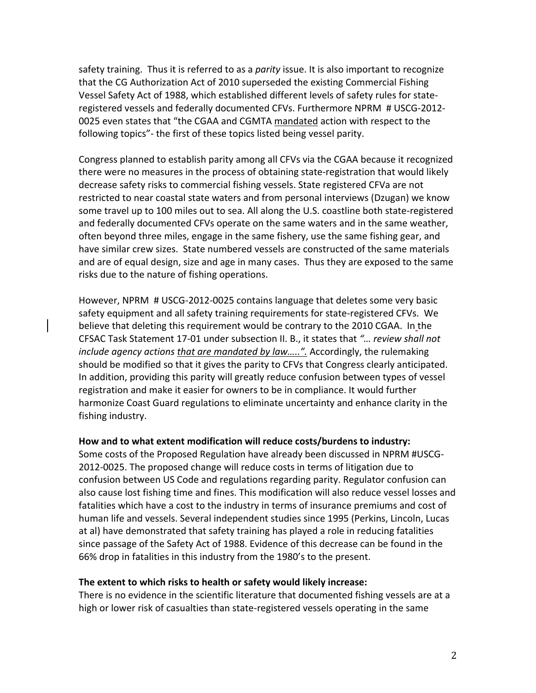safety training. Thus it is referred to as a *parity* issue. It is also important to recognize that the CG Authorization Act of 2010 superseded the existing Commercial Fishing Vessel Safety Act of 1988, which established different levels of safety rules for stateregistered vessels and federally documented CFVs. Furthermore NPRM # USCG-2012- 0025 even states that "the CGAA and CGMTA mandated action with respect to the following topics"- the first of these topics listed being vessel parity.

Congress planned to establish parity among all CFVs via the CGAA because it recognized there were no measures in the process of obtaining state-registration that would likely decrease safety risks to commercial fishing vessels. State registered CFVa are not restricted to near coastal state waters and from personal interviews (Dzugan) we know some travel up to 100 miles out to sea. All along the U.S. coastline both state-registered and federally documented CFVs operate on the same waters and in the same weather, often beyond three miles, engage in the same fishery, use the same fishing gear, and have similar crew sizes. State numbered vessels are constructed of the same materials and are of equal design, size and age in many cases. Thus they are exposed to the same risks due to the nature of fishing operations.

However, NPRM # USCG-2012-0025 contains language that deletes some very basic safety equipment and all safety training requirements for state-registered CFVs. We believe that deleting this requirement would be contrary to the 2010 CGAA. In the CFSAC Task Statement 17-01 under subsection II. B., it states that *"… review shall not include agency actions that are mandated by law…..".* Accordingly, the rulemaking should be modified so that it gives the parity to CFVs that Congress clearly anticipated. In addition, providing this parity will greatly reduce confusion between types of vessel registration and make it easier for owners to be in compliance. It would further harmonize Coast Guard regulations to eliminate uncertainty and enhance clarity in the fishing industry.

#### **How and to what extent modification will reduce costs/burdens to industry:**

Some costs of the Proposed Regulation have already been discussed in NPRM #USCG-2012-0025. The proposed change will reduce costs in terms of litigation due to confusion between US Code and regulations regarding parity. Regulator confusion can also cause lost fishing time and fines. This modification will also reduce vessel losses and fatalities which have a cost to the industry in terms of insurance premiums and cost of human life and vessels. Several independent studies since 1995 (Perkins, Lincoln, Lucas at al) have demonstrated that safety training has played a role in reducing fatalities since passage of the Safety Act of 1988. Evidence of this decrease can be found in the 66% drop in fatalities in this industry from the 1980's to the present.

#### **The extent to which risks to health or safety would likely increase:**

There is no evidence in the scientific literature that documented fishing vessels are at a high or lower risk of casualties than state-registered vessels operating in the same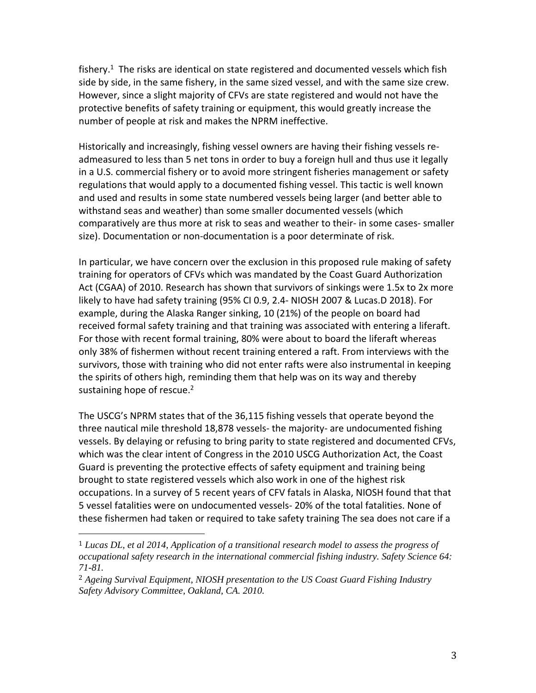fishery.<sup>1</sup> The risks are identical on state registered and documented vessels which fish side by side, in the same fishery, in the same sized vessel, and with the same size crew. However, since a slight majority of CFVs are state registered and would not have the protective benefits of safety training or equipment, this would greatly increase the number of people at risk and makes the NPRM ineffective.

Historically and increasingly, fishing vessel owners are having their fishing vessels readmeasured to less than 5 net tons in order to buy a foreign hull and thus use it legally in a U.S. commercial fishery or to avoid more stringent fisheries management or safety regulations that would apply to a documented fishing vessel. This tactic is well known and used and results in some state numbered vessels being larger (and better able to withstand seas and weather) than some smaller documented vessels (which comparatively are thus more at risk to seas and weather to their- in some cases- smaller size). Documentation or non-documentation is a poor determinate of risk.

In particular, we have concern over the exclusion in this proposed rule making of safety training for operators of CFVs which was mandated by the Coast Guard Authorization Act (CGAA) of 2010. Research has shown that survivors of sinkings were 1.5x to 2x more likely to have had safety training (95% CI 0.9, 2.4- NIOSH 2007 & Lucas.D 2018). For example, during the Alaska Ranger sinking, 10 (21%) of the people on board had received formal safety training and that training was associated with entering a liferaft. For those with recent formal training, 80% were about to board the liferaft whereas only 38% of fishermen without recent training entered a raft. From interviews with the survivors, those with training who did not enter rafts were also instrumental in keeping the spirits of others high, reminding them that help was on its way and thereby sustaining hope of rescue.<sup>2</sup>

The USCG's NPRM states that of the 36,115 fishing vessels that operate beyond the three nautical mile threshold 18,878 vessels- the majority- are undocumented fishing vessels. By delaying or refusing to bring parity to state registered and documented CFVs, which was the clear intent of Congress in the 2010 USCG Authorization Act, the Coast Guard is preventing the protective effects of safety equipment and training being brought to state registered vessels which also work in one of the highest risk occupations. In a survey of 5 recent years of CFV fatals in Alaska, NIOSH found that that 5 vessel fatalities were on undocumented vessels- 20% of the total fatalities. None of these fishermen had taken or required to take safety training The sea does not care if a

 $\overline{\phantom{a}}$ 

<sup>1</sup> *Lucas DL, et al 2014, Application of a transitional research model to assess the progress of occupational safety research in the international commercial fishing industry. Safety Science 64: 71-81.*

<sup>2</sup> *Ageing Survival Equipment, NIOSH presentation to the US Coast Guard Fishing Industry Safety Advisory Committee, Oakland, CA. 2010.*